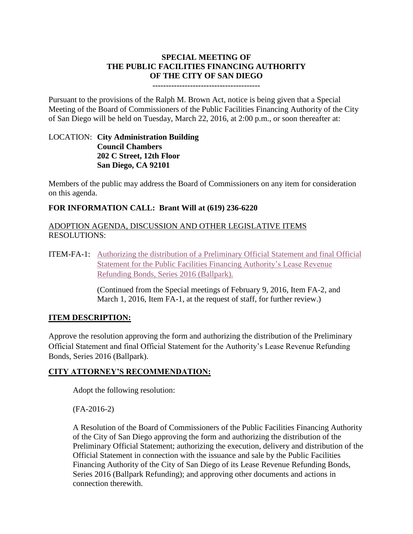# **SPECIAL MEETING OF THE PUBLIC FACILITIES FINANCING AUTHORITY OF THE CITY OF SAN DIEGO**

#### **----------------------------------------**

Pursuant to the provisions of the Ralph M. Brown Act, notice is being given that a Special Meeting of the Board of Commissioners of the Public Facilities Financing Authority of the City of San Diego will be held on Tuesday, March 22, 2016, at 2:00 p.m., or soon thereafter at:

# LOCATION: **City Administration Building Council Chambers 202 C Street, 12th Floor San Diego, CA 92101**

Members of the public may address the Board of Commissioners on any item for consideration on this agenda.

# **FOR INFORMATION CALL: Brant Will at (619) 236-6220**

### ADOPTION AGENDA, DISCUSSION AND OTHER LEGISLATIVE ITEMS RESOLUTIONS:

ITEM-FA-1: [Authorizing the distribution of a Preliminary Official Statement](http://www.sandiego.gov/sites/default/files/fa-1_exhibits_0.pdf) and final Official Statement [for the Public Facilities Financing Authority's Lease Revenue](http://www.sandiego.gov/sites/default/files/fa-1_exhibits_0.pdf)  [Refunding Bonds, Series 2016 \(Ballpark\).](http://www.sandiego.gov/sites/default/files/fa-1_exhibits_0.pdf)

> (Continued from the Special meetings of February 9, 2016, Item FA-2, and March 1, 2016, Item FA-1, at the request of staff, for further review.)

#### **ITEM DESCRIPTION:**

Approve the resolution approving the form and authorizing the distribution of the Preliminary Official Statement and final Official Statement for the Authority's Lease Revenue Refunding Bonds, Series 2016 (Ballpark).

#### **CITY ATTORNEY'S RECOMMENDATION:**

Adopt the following resolution:

(FA-2016-2)

A Resolution of the Board of Commissioners of the Public Facilities Financing Authority of the City of San Diego approving the form and authorizing the distribution of the Preliminary Official Statement; authorizing the execution, delivery and distribution of the Official Statement in connection with the issuance and sale by the Public Facilities Financing Authority of the City of San Diego of its Lease Revenue Refunding Bonds, Series 2016 (Ballpark Refunding); and approving other documents and actions in connection therewith.